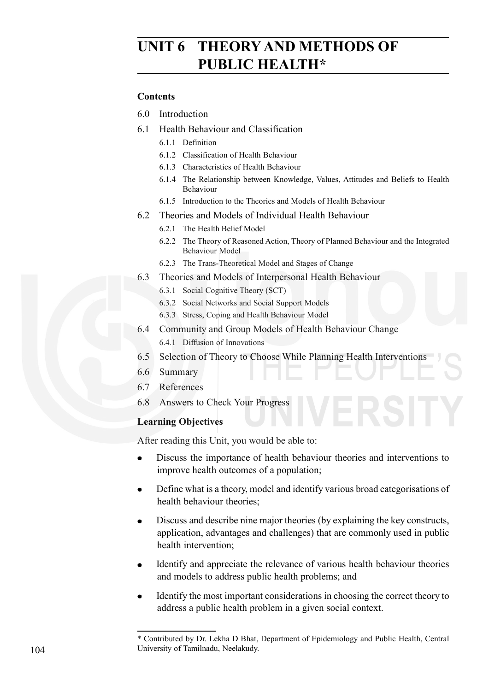# **UNIT 6 THEORY AND METHODS OF PUBLIC HEALTH\***

#### **Contents**

- 6.0 Introduction
- 6.1 Health Behaviour and Classification
	- 6.1.1 Definition
	- 6.1.2 Classification of Health Behaviour
	- 6.1.3 Characteristics of Health Behaviour
	- 6.1.4 The Relationship between Knowledge, Values, Attitudes and Beliefs to Health Behaviour
	- 6.1.5 Introduction to the Theories and Models of Health Behaviour
- 6.2 Theories and Models of Individual Health Behaviour
	- 6.2.1 The Health Belief Model
	- 6.2.2 The Theory of Reasoned Action, Theory of Planned Behaviour and the Integrated Behaviour Model
	- 6.2.3 The Trans-Theoretical Model and Stages of Change
- 6.3 Theories and Models of Interpersonal Health Behaviour
	- 6.3.1 Social Cognitive Theory (SCT)
	- 6.3.2 Social Networks and Social Support Models
	- 6.3.3 Stress, Coping and Health Behaviour Model
- 6.4 Community and Group Models of Health Behaviour Change
- 6.4.1 Diffusion of Innovations
- 6.5 Selection of Theory to Choose While Planning Health Interventions
- 6.6 Summary
- 6.7 References
- 6.8 Answers to Check Your Progress

#### **Learning Objectives**

After reading this Unit, you would be able to:

- Discuss the importance of health behaviour theories and interventions to  $\bullet$ improve health outcomes of a population;
- Define what is a theory, model and identify various broad categorisations of health behaviour theories;
- Discuss and describe nine major theories (by explaining the key constructs,  $\bullet$ application, advantages and challenges) that are commonly used in public health intervention;
- Identify and appreciate the relevance of various health behaviour theories and models to address public health problems; and
- Identify the most important considerations in choosing the correct theory to address a public health problem in a given social context.
- \* Contributed by Dr. Lekha D Bhat, Department of Epidemiology and Public Health, Central University of Tamilnadu, Neelakudy.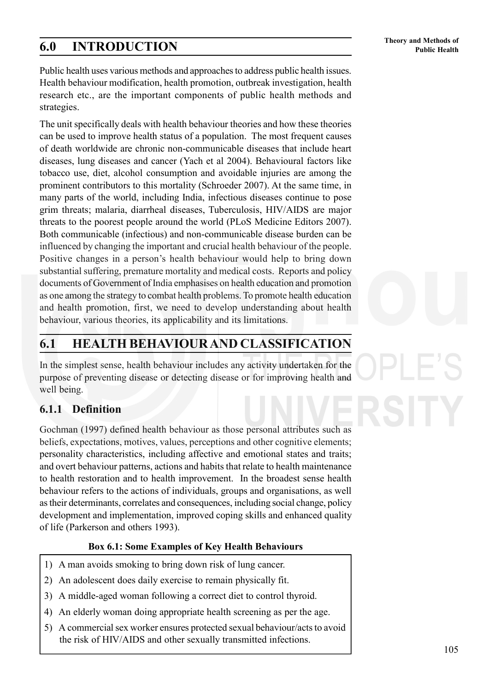# **Theory and Methods of 6.0 INTRODUCTION Public Health**

105

Public health uses various methods and approaches to address public health issues. Health behaviour modification, health promotion, outbreak investigation, health research etc., are the important components of public health methods and strategies.

The unit specifically deals with health behaviour theories and how these theories can be used to improve health status of a population. The most frequent causes of death worldwide are chronic non-communicable diseases that include heart diseases, lung diseases and cancer (Yach et al 2004). Behavioural factors like tobacco use, diet, alcohol consumption and avoidable injuries are among the prominent contributors to this mortality (Schroeder 2007). At the same time, in many parts of the world, including India, infectious diseases continue to pose grim threats; malaria, diarrheal diseases, Tuberculosis, HIV/AIDS are major threats to the poorest people around the world (PLoS Medicine Editors 2007). Both communicable (infectious) and non-communicable disease burden can be influenced by changing the important and crucial health behaviour of the people. Positive changes in a person's health behaviour would help to bring down substantial suffering, premature mortality and medical costs. Reports and policy documents of Government of India emphasises on health education and promotion as one among the strategy to combat health problems. To promote health education and health promotion, first, we need to develop understanding about health behaviour, various theories, its applicability and its limitations.

# **6.1 HEALTH BEHAVIOUR AND CLASSIFICATION**

In the simplest sense, health behaviour includes any activity undertaken for the purpose of preventing disease or detecting disease or for improving health and well being.

### **6.1.1 Definition**

Gochman (1997) defined health behaviour as those personal attributes such as beliefs, expectations, motives, values, perceptions and other cognitive elements; personality characteristics, including affective and emotional states and traits; and overt behaviour patterns, actions and habits that relate to health maintenance to health restoration and to health improvement. In the broadest sense health behaviour refers to the actions of individuals, groups and organisations, as well as their determinants, correlates and consequences, including social change, policy development and implementation, improved coping skills and enhanced quality of life (Parkerson and others 1993).

### **Box 6.1: Some Examples of Key Health Behaviours**

- 1) A man avoids smoking to bring down risk of lung cancer.
- 2) An adolescent does daily exercise to remain physically fit.
- 3) A middle-aged woman following a correct diet to control thyroid.
- 4) An elderly woman doing appropriate health screening as per the age.
- 5) A commercial sex worker ensures protected sexual behaviour/acts to avoid the risk of HIV/AIDS and other sexually transmitted infections.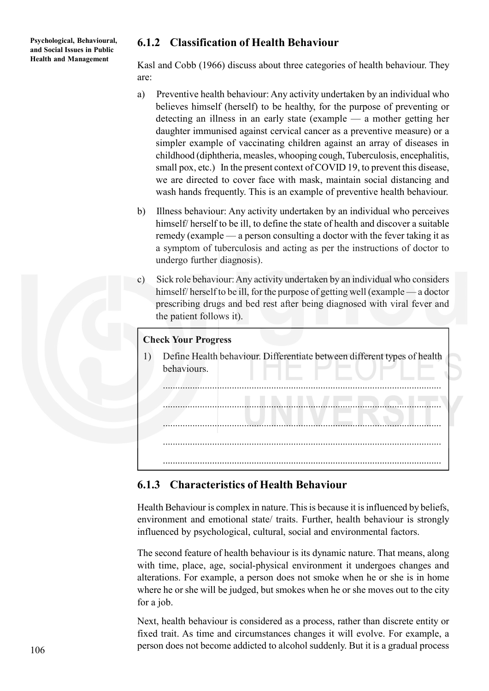### **6.1.2 Classification of Health Behaviour**

Kasl and Cobb (1966) discuss about three categories of health behaviour. They are:

- a) Preventive health behaviour: Any activity undertaken by an individual who believes himself (herself) to be healthy, for the purpose of preventing or detecting an illness in an early state (example — a mother getting her daughter immunised against cervical cancer as a preventive measure) or a simpler example of vaccinating children against an array of diseases in childhood (diphtheria, measles, whooping cough, Tuberculosis, encephalitis, small pox, etc.) In the present context of COVID 19, to prevent this disease, we are directed to cover face with mask, maintain social distancing and wash hands frequently. This is an example of preventive health behaviour.
- b) Illness behaviour: Any activity undertaken by an individual who perceives himself/ herself to be ill, to define the state of health and discover a suitable remedy (example — a person consulting a doctor with the fever taking it as a symptom of tuberculosis and acting as per the instructions of doctor to undergo further diagnosis).
- c) Sick role behaviour: Any activity undertaken by an individual who considers himself/ herself to be ill, for the purpose of getting well (example — a doctor prescribing drugs and bed rest after being diagnosed with viral fever and the patient follows it).

#### **Check Your Progress**

1) Define Health behaviour. Differentiate between different types of health behaviours.

.................................................................................................................

.................................................................................................................

.................................................................................................................

.................................................................................................................

### **6.1.3 Characteristics of Health Behaviour**

.................................................................................................................

Health Behaviour is complex in nature. This is because it is influenced by beliefs, environment and emotional state/ traits. Further, health behaviour is strongly influenced by psychological, cultural, social and environmental factors.

The second feature of health behaviour is its dynamic nature. That means, along with time, place, age, social-physical environment it undergoes changes and alterations. For example, a person does not smoke when he or she is in home where he or she will be judged, but smokes when he or she moves out to the city for a job.

Next, health behaviour is considered as a process, rather than discrete entity or fixed trait. As time and circumstances changes it will evolve. For example, a person does not become addicted to alcohol suddenly. But it is a gradual process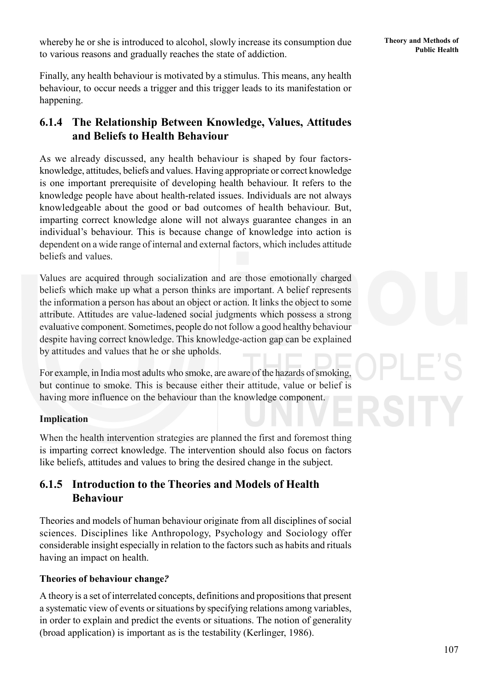**Public Health** whereby he or she is introduced to alcohol, slowly increase its consumption due<br>**Public Health** to various reasons and gradually reaches the state of addiction.

Finally, any health behaviour is motivated by a stimulus. This means, any health behaviour, to occur needs a trigger and this trigger leads to its manifestation or happening.

### **6.1.4 The Relationship Between Knowledge, Values, Attitudes and Beliefs to Health Behaviour**

As we already discussed, any health behaviour is shaped by four factorsknowledge, attitudes, beliefs and values. Having appropriate or correct knowledge is one important prerequisite of developing health behaviour. It refers to the knowledge people have about health-related issues. Individuals are not always knowledgeable about the good or bad outcomes of health behaviour. But, imparting correct knowledge alone will not always guarantee changes in an individual's behaviour. This is because change of knowledge into action is dependent on a wide range of internal and external factors, which includes attitude beliefs and values.

Values are acquired through socialization and are those emotionally charged beliefs which make up what a person thinks are important. A belief represents the information a person has about an object or action. It links the object to some attribute. Attitudes are value-ladened social judgments which possess a strong evaluative component. Sometimes, people do not follow a good healthy behaviour despite having correct knowledge. This knowledge-action gap can be explained by attitudes and values that he or she upholds.

For example, in India most adults who smoke, are aware of the hazards of smoking, but continue to smoke. This is because either their attitude, value or belief is having more influence on the behaviour than the knowledge component.

#### **Implication**

When the health intervention strategies are planned the first and foremost thing is imparting correct knowledge. The intervention should also focus on factors like beliefs, attitudes and values to bring the desired change in the subject.

### **6.1.5 Introduction to the Theories and Models of Health Behaviour**

Theories and models of human behaviour originate from all disciplines of social sciences. Disciplines like Anthropology, Psychology and Sociology offer considerable insight especially in relation to the factors such as habits and rituals having an impact on health.

#### **Theories of behaviour change***?*

A theory is a set of interrelated concepts, definitions and propositions that present a systematic view of events or situations by specifying relations among variables, in order to explain and predict the events or situations. The notion of generality (broad application) is important as is the testability (Kerlinger, 1986).

107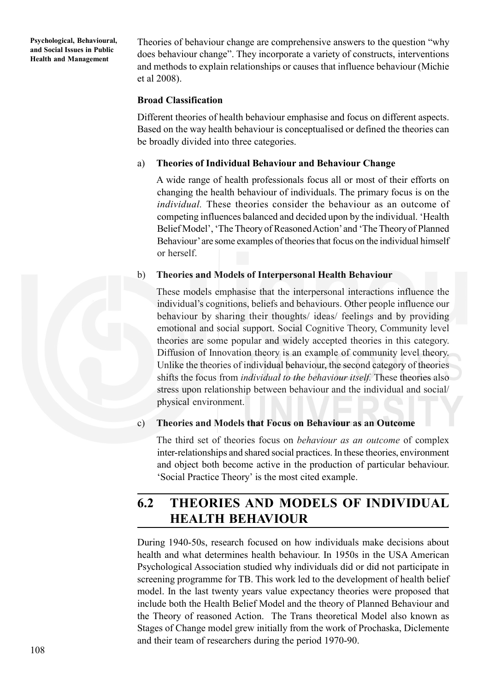Theories of behaviour change are comprehensive answers to the question "why does behaviour change". They incorporate a variety of constructs, interventions and methods to explain relationships or causes that influence behaviour (Michie et al 2008).

#### **Broad Classification**

Different theories of health behaviour emphasise and focus on different aspects. Based on the way health behaviour is conceptualised or defined the theories can be broadly divided into three categories.

#### a) **Theories of Individual Behaviour and Behaviour Change**

A wide range of health professionals focus all or most of their efforts on changing the health behaviour of individuals. The primary focus is on the *individual.* These theories consider the behaviour as an outcome of competing influences balanced and decided upon by the individual. 'Health Belief Model', 'The Theory of Reasoned Action' and 'The Theory of Planned Behaviour' are some examples of theories that focus on the individual himself or herself.

#### b) **Theories and Models of Interpersonal Health Behaviour**

These models emphasise that the interpersonal interactions influence the individual's cognitions, beliefs and behaviours. Other people influence our behaviour by sharing their thoughts/ ideas/ feelings and by providing emotional and social support. Social Cognitive Theory, Community level theories are some popular and widely accepted theories in this category. Diffusion of Innovation theory is an example of community level theory. Unlike the theories of individual behaviour, the second category of theories shifts the focus from *individual to the behaviour itself.* These theories also stress upon relationship between behaviour and the individual and social/ physical environment.

#### c) **Theories and Models that Focus on Behaviour as an Outcome**

The third set of theories focus on *behaviour as an outcome* of complex inter-relationships and shared social practices. In these theories, environment and object both become active in the production of particular behaviour. 'Social Practice Theory' is the most cited example.

# **6.2 THEORIES AND MODELS OF INDIVIDUAL HEALTH BEHAVIOUR**

During 1940-50s, research focused on how individuals make decisions about health and what determines health behaviour. In 1950s in the USA American Psychological Association studied why individuals did or did not participate in screening programme for TB. This work led to the development of health belief model. In the last twenty years value expectancy theories were proposed that include both the Health Belief Model and the theory of Planned Behaviour and the Theory of reasoned Action. The Trans theoretical Model also known as Stages of Change model grew initially from the work of Prochaska, Diclemente and their team of researchers during the period 1970-90.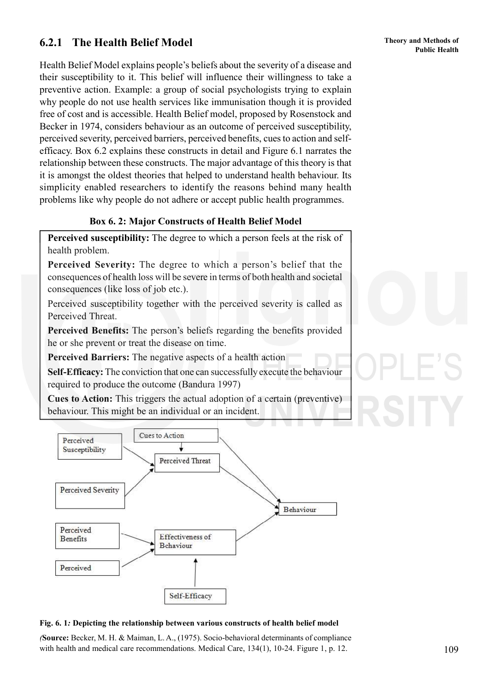### **6.2.1 The Health Belief Model**

Health Belief Model explains people's beliefs about the severity of a disease and their susceptibility to it. This belief will influence their willingness to take a preventive action. Example: a group of social psychologists trying to explain why people do not use health services like immunisation though it is provided free of cost and is accessible. Health Belief model, proposed by Rosenstock and Becker in 1974, considers behaviour as an outcome of perceived susceptibility, perceived severity, perceived barriers, perceived benefits, cues to action and selfefficacy. Box 6.2 explains these constructs in detail and Figure 6.1 narrates the relationship between these constructs. The major advantage of this theory is that it is amongst the oldest theories that helped to understand health behaviour. Its simplicity enabled researchers to identify the reasons behind many health problems like why people do not adhere or accept public health programmes.

### **Box 6. 2: Major Constructs of Health Belief Model**

**Perceived susceptibility:** The degree to which a person feels at the risk of health problem.

**Perceived Severity:** The degree to which a person's belief that the consequences of health loss will be severe in terms of both health and societal consequences (like loss of job etc.).

Perceived susceptibility together with the perceived severity is called as Perceived Threat.

**Perceived Benefits:** The person's beliefs regarding the benefits provided he or she prevent or treat the disease on time.

**Perceived Barriers:** The negative aspects of a health action

**Self-Efficacy:** The conviction that one can successfully execute the behaviour required to produce the outcome (Bandura 1997)

**Cues to Action:** This triggers the actual adoption of a certain (preventive) behaviour. This might be an individual or an incident.



#### **Fig. 6. 1***:* **Depicting the relationship between various constructs of health belief model**

*(***Source:** Becker, M. H. & Maiman, L. A., (1975). Socio-behavioral determinants of compliance with health and medical care recommendations. Medical Care, 134(1), 10-24. Figure 1, p. 12.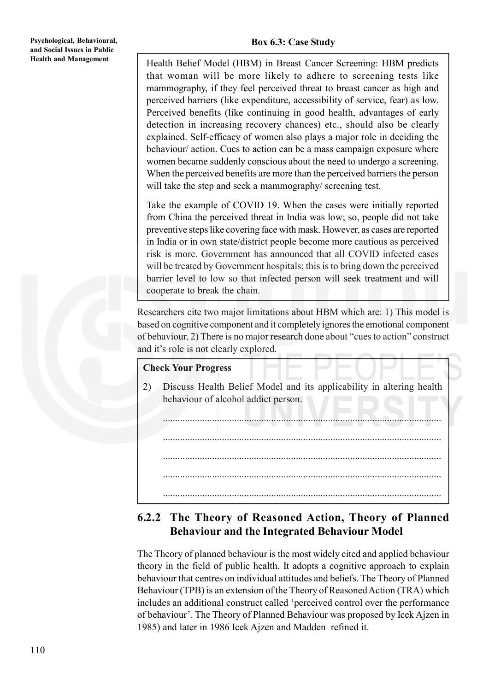Health Belief Model (HBM) in Breast Cancer Screening: HBM predicts that woman will be more likely to adhere to screening tests like mammography, if they feel perceived threat to breast cancer as high and perceived barriers (like expenditure, accessibility of service, fear) as low. Perceived benefits (like continuing in good health, advantages of early detection in increasing recovery chances) etc., should also be clearly explained. Self-efficacy of women also plays a major role in deciding the behaviour/ action. Cues to action can be a mass campaign exposure where women became suddenly conscious about the need to undergo a screening. When the perceived benefits are more than the perceived barriers the person will take the step and seek a mammography/ screening test.

Take the example of COVID 19. When the cases were initially reported from China the perceived threat in India was low; so, people did not take preventive steps like covering face with mask. However, as cases are reported in India or in own state/district people become more cautious as perceived risk is more. Government has announced that all COVID infected cases will be treated by Government hospitals; this is to bring down the perceived barrier level to low so that infected person will seek treatment and will cooperate to break the chain.

Researchers cite two major limitations about HBM which are: 1) This model is based on cognitive component and it completely ignores the emotional component of behaviour, 2) There is no major research done about "cues to action" construct and it's role is not clearly explored.

### **Check Your Progress**

2) Discuss Health Belief Model and its applicability in altering health behaviour of alcohol addict person.

................................................................................................................. ................................................................................................................. ................................................................................................................. ................................................................................................................. .................................................................................................................

### **6.2.2 The Theory of Reasoned Action, Theory of Planned Behaviour and the Integrated Behaviour Model**

The Theory of planned behaviour is the most widely cited and applied behaviour theory in the field of public health. It adopts a cognitive approach to explain behaviour that centres on individual attitudes and beliefs. The Theory of Planned Behaviour (TPB) is an extension of the Theory of Reasoned Action (TRA) which includes an additional construct called 'perceived control over the performance of behaviour'. The Theory of Planned Behaviour was proposed by Icek Ajzen in 1985) and later in 1986 Icek Ajzen and Madden refined it.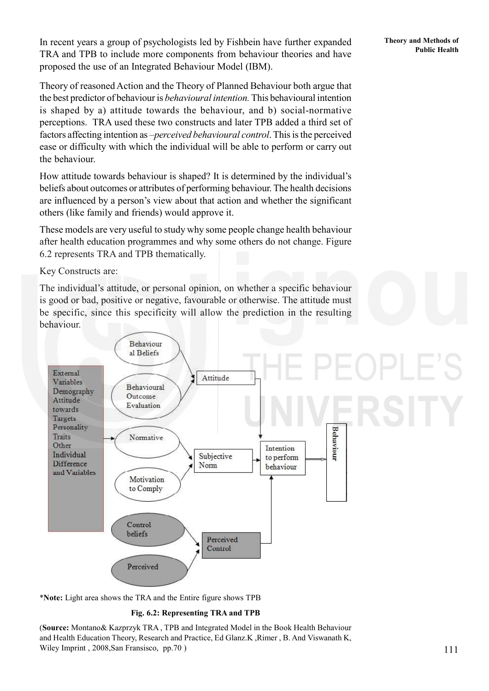In recent years a group of psychologists led by Fishbein have further expanded Theory and Methods of TRA and TPB to include more components from behaviour theories and have proposed the use of an Integrated Behaviour Model (IBM).

Theory of reasoned Action and the Theory of Planned Behaviour both argue that the best predictor of behaviour is *behavioural intention.* This behavioural intention is shaped by a) attitude towards the behaviour, and b) social-normative perceptions. TRA used these two constructs and later TPB added a third set of factors affecting intention as –*perceived behavioural control*. This is the perceived ease or difficulty with which the individual will be able to perform or carry out the behaviour.

How attitude towards behaviour is shaped? It is determined by the individual's beliefs about outcomes or attributes of performing behaviour. The health decisions are influenced by a person's view about that action and whether the significant others (like family and friends) would approve it.

These models are very useful to study why some people change health behaviour after health education programmes and why some others do not change. Figure 6.2 represents TRA and TPB thematically.

Key Constructs are:

The individual's attitude, or personal opinion, on whether a specific behaviour is good or bad, positive or negative, favourable or otherwise. The attitude must be specific, since this specificity will allow the prediction in the resulting behaviour.



\***Note:** Light area shows the TRA and the Entire figure shows TPB

#### **Fig. 6.2: Representing TRA and TPB**

(**Source:** Montano& Kazprzyk TRA , TPB and Integrated Model in the Book Health Behaviour and Health Education Theory, Research and Practice, Ed Glanz.K ,Rimer , B. And Viswanath K, Wiley Imprint , 2008,San Fransisco, pp.70 )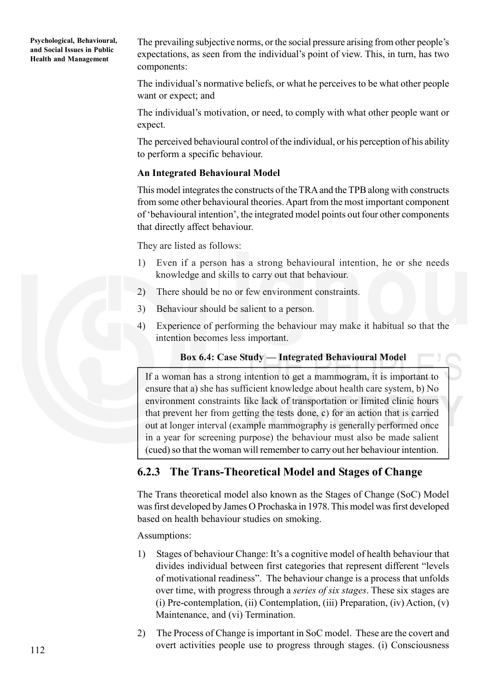The prevailing subjective norms, or the social pressure arising from other people's expectations, as seen from the individual's point of view. This, in turn, has two components:

The individual's normative beliefs, or what he perceives to be what other people want or expect; and

The individual's motivation, or need, to comply with what other people want or expect.

The perceived behavioural control of the individual, or his perception of his ability to perform a specific behaviour.

#### **An Integrated Behavioural Model**

This model integrates the constructs of the TRA and the TPB along with constructs from some other behavioural theories. Apart from the most important component of 'behavioural intention', the integrated model points out four other components that directly affect behaviour.

They are listed as follows:

- 1) Even if a person has a strong behavioural intention, he or she needs knowledge and skills to carry out that behaviour.
- 2) There should be no or few environment constraints.
- 3) Behaviour should be salient to a person.
- 4) Experience of performing the behaviour may make it habitual so that the intention becomes less important.

#### **Box 6.4: Case Study — Integrated Behavioural Model**

If a woman has a strong intention to get a mammogram, it is important to ensure that a) she has sufficient knowledge about health care system, b) No environment constraints like lack of transportation or limited clinic hours that prevent her from getting the tests done, c) for an action that is carried out at longer interval (example mammography is generally performed once in a year for screening purpose) the behaviour must also be made salient (cued) so that the woman will remember to carry out her behaviour intention.

### **6.2.3 The Trans-Theoretical Model and Stages of Change**

The Trans theoretical model also known as the Stages of Change (SoC) Model was first developed by James O Prochaska in 1978. This model was first developed based on health behaviour studies on smoking.

Assumptions:

- 1) Stages of behaviour Change: It's a cognitive model of health behaviour that divides individual between first categories that represent different "levels of motivational readiness". The behaviour change is a process that unfolds over time, with progress through a *series of six stages*. These six stages are (i) Pre-contemplation, (ii) Contemplation, (iii) Preparation, (iv) Action, (v) Maintenance, and (vi) Termination.
- 2) The Process of Change is important in SoC model. These are the covert and overt activities people use to progress through stages. (i) Consciousness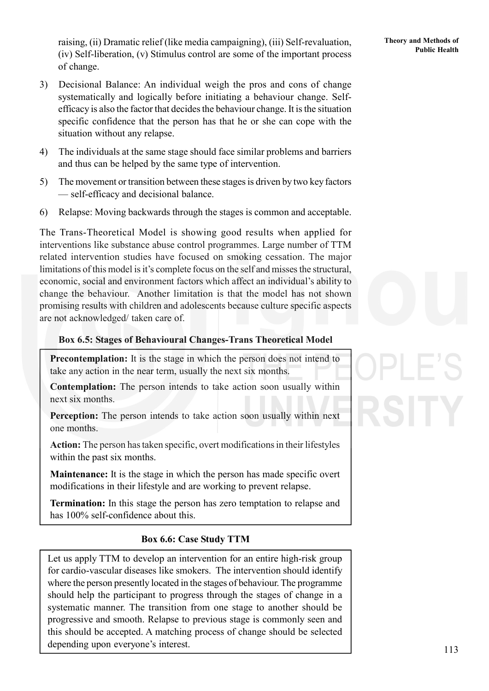**Public Health** raising, (ii) Dramatic relief (like media campaigning), (iii) Self-revaluation, **Theory and Methods of** Public Health (iv) Self-liberation, (v) Stimulus control are some of the important process of change.

- 3) Decisional Balance: An individual weigh the pros and cons of change systematically and logically before initiating a behaviour change. Selfefficacy is also the factor that decides the behaviour change. It is the situation specific confidence that the person has that he or she can cope with the situation without any relapse.
- 4) The individuals at the same stage should face similar problems and barriers and thus can be helped by the same type of intervention.
- 5) The movement or transition between these stages is driven by two key factors — self-efficacy and decisional balance.
- 6) Relapse: Moving backwards through the stages is common and acceptable.

The Trans-Theoretical Model is showing good results when applied for interventions like substance abuse control programmes. Large number of TTM related intervention studies have focused on smoking cessation. The major limitations of this model is it's complete focus on the self and misses the structural, economic, social and environment factors which affect an individual's ability to change the behaviour. Another limitation is that the model has not shown promising results with children and adolescents because culture specific aspects are not acknowledged/ taken care of.

### **Box 6.5: Stages of Behavioural Changes-Trans Theoretical Model**

**Precontemplation:** It is the stage in which the person does not intend to take any action in the near term, usually the next six months.

**Contemplation:** The person intends to take action soon usually within next six months.

**Perception:** The person intends to take action soon usually within next one months.

**Action:** The person has taken specific, overt modifications in their lifestyles within the past six months.

**Maintenance:** It is the stage in which the person has made specific overt modifications in their lifestyle and are working to prevent relapse.

**Termination:** In this stage the person has zero temptation to relapse and has 100% self-confidence about this.

### **Box 6.6: Case Study TTM**

Let us apply TTM to develop an intervention for an entire high-risk group for cardio-vascular diseases like smokers. The intervention should identify where the person presently located in the stages of behaviour. The programme should help the participant to progress through the stages of change in a systematic manner. The transition from one stage to another should be progressive and smooth. Relapse to previous stage is commonly seen and this should be accepted. A matching process of change should be selected depending upon everyone's interest.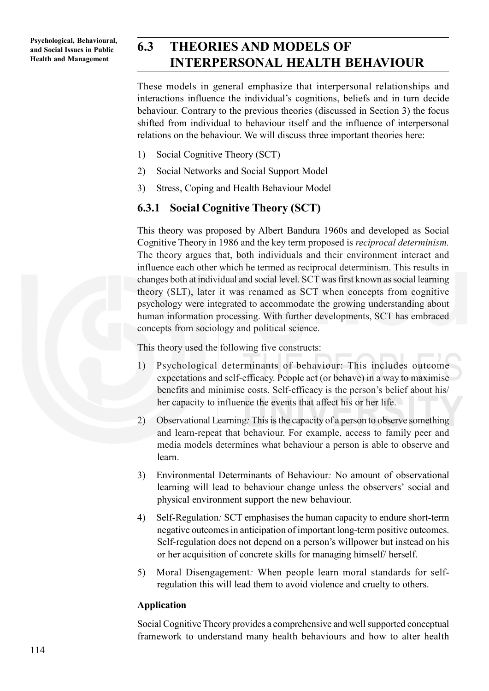# **6.3 THEORIES AND MODELS OF INTERPERSONAL HEALTH BEHAVIOUR**

These models in general emphasize that interpersonal relationships and interactions influence the individual's cognitions, beliefs and in turn decide behaviour. Contrary to the previous theories (discussed in Section 3) the focus shifted from individual to behaviour itself and the influence of interpersonal relations on the behaviour. We will discuss three important theories here:

- 1) Social Cognitive Theory (SCT)
- 2) Social Networks and Social Support Model
- 3) Stress, Coping and Health Behaviour Model

### **6.3.1 Social Cognitive Theory (SCT)**

This theory was proposed by Albert Bandura 1960s and developed as Social Cognitive Theory in 1986 and the key term proposed is *reciprocal determinism.* The theory argues that, both individuals and their environment interact and influence each other which he termed as reciprocal determinism. This results in changes both at individual and social level. SCT was first known as social learning theory (SLT), later it was renamed as SCT when concepts from cognitive psychology were integrated to accommodate the growing understanding about human information processing. With further developments, SCT has embraced concepts from sociology and political science.

This theory used the following five constructs:

- 1) Psychological determinants of behaviour: This includes outcome expectations and self-efficacy. People act (or behave) in a way to maximise benefits and minimise costs. Self-efficacy is the person's belief about his/ her capacity to influence the events that affect his or her life.
- 2) Observational Learning*:* This is the capacity of a person to observe something and learn-repeat that behaviour. For example, access to family peer and media models determines what behaviour a person is able to observe and learn.
- 3) Environmental Determinants of Behaviour*:* No amount of observational learning will lead to behaviour change unless the observers' social and physical environment support the new behaviour.
- 4) Self-Regulation*:* SCT emphasises the human capacity to endure short-term negative outcomes in anticipation of important long-term positive outcomes. Self-regulation does not depend on a person's willpower but instead on his or her acquisition of concrete skills for managing himself/ herself.
- 5) Moral Disengagement*:* When people learn moral standards for selfregulation this will lead them to avoid violence and cruelty to others.

#### **Application**

Social Cognitive Theory provides a comprehensive and well supported conceptual framework to understand many health behaviours and how to alter health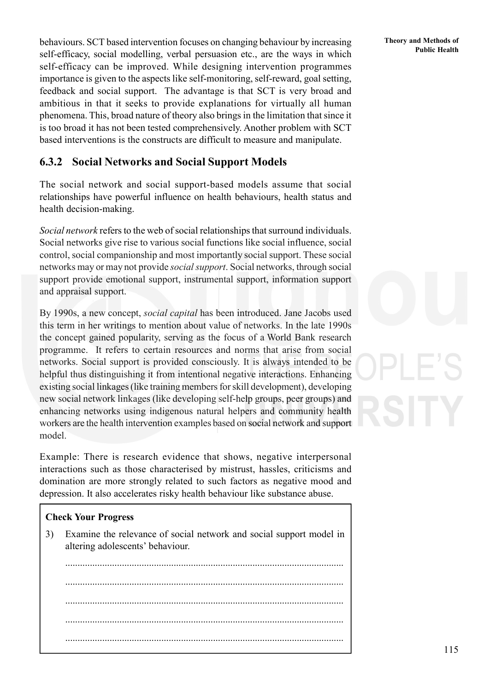**Public Health** behaviours. SCT based intervention focuses on changing behaviour by increasing Theory and Methods of Public Health self-efficacy, social modelling, verbal persuasion etc., are the ways in which self-efficacy can be improved. While designing intervention programmes importance is given to the aspects like self-monitoring, self-reward, goal setting, feedback and social support. The advantage is that SCT is very broad and ambitious in that it seeks to provide explanations for virtually all human phenomena. This, broad nature of theory also brings in the limitation that since it is too broad it has not been tested comprehensively. Another problem with SCT based interventions is the constructs are difficult to measure and manipulate.

### **6.3.2 Social Networks and Social Support Models**

The social network and social support-based models assume that social relationships have powerful influence on health behaviours, health status and health decision-making.

*Social network* refers to the web of social relationships that surround individuals. Social networks give rise to various social functions like social influence, social control, social companionship and most importantly social support. These social networks may or may not provide *social support*. Social networks, through social support provide emotional support, instrumental support, information support and appraisal support.

By 1990s, a new concept, *social capital* has been introduced. Jane Jacobs used this term in her writings to mention about value of networks. In the late 1990s the concept gained popularity, serving as the focus of a World Bank research programme. It refers to certain resources and norms that arise from social networks. Social support is provided consciously. It is always intended to be helpful thus distinguishing it from intentional negative interactions. Enhancing existing social linkages (like training members for skill development), developing new social network linkages (like developing self-help groups, peer groups) and enhancing networks using indigenous natural helpers and community health workers are the health intervention examples based on social network and support model.

Example: There is research evidence that shows, negative interpersonal interactions such as those characterised by mistrust, hassles, criticisms and domination are more strongly related to such factors as negative mood and depression. It also accelerates risky health behaviour like substance abuse.

### **Check Your Progress**

3) Examine the relevance of social network and social support model in altering adolescents' behaviour.

................................................................................................................. ................................................................................................................. ................................................................................................................. ................................................................................................................. .................................................................................................................

**Theory and Methods of**

115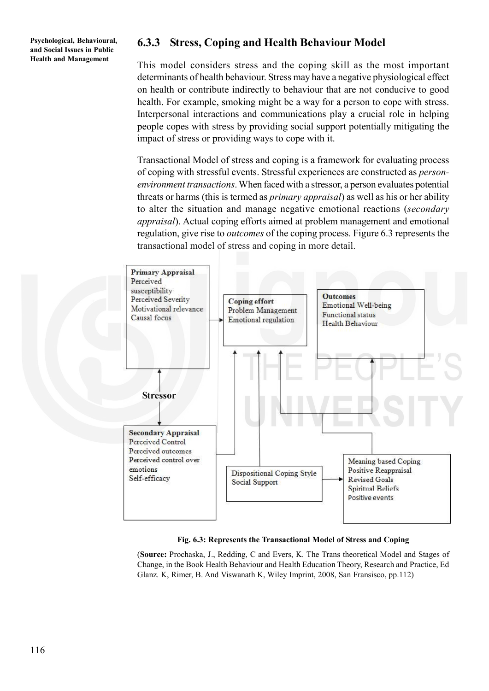### **6.3.3 Stress, Coping and Health Behaviour Model**

This model considers stress and the coping skill as the most important determinants of health behaviour. Stress may have a negative physiological effect on health or contribute indirectly to behaviour that are not conducive to good health. For example, smoking might be a way for a person to cope with stress. Interpersonal interactions and communications play a crucial role in helping people copes with stress by providing social support potentially mitigating the impact of stress or providing ways to cope with it.

Transactional Model of stress and coping is a framework for evaluating process of coping with stressful events. Stressful experiences are constructed as *personenvironment transactions*. When faced with a stressor, a person evaluates potential threats or harms (this is termed as *primary appraisal*) as well as his or her ability to alter the situation and manage negative emotional reactions (*secondary appraisal*). Actual coping efforts aimed at problem management and emotional regulation, give rise to *outcomes* of the coping process. Figure 6.3 represents the transactional model of stress and coping in more detail.



**Fig. 6.3: Represents the Transactional Model of Stress and Coping**

(**Source:** Prochaska, J., Redding, C and Evers, K. The Trans theoretical Model and Stages of Change, in the Book Health Behaviour and Health Education Theory, Research and Practice, Ed Glanz. K, Rimer, B. And Viswanath K, Wiley Imprint, 2008, San Fransisco, pp.112)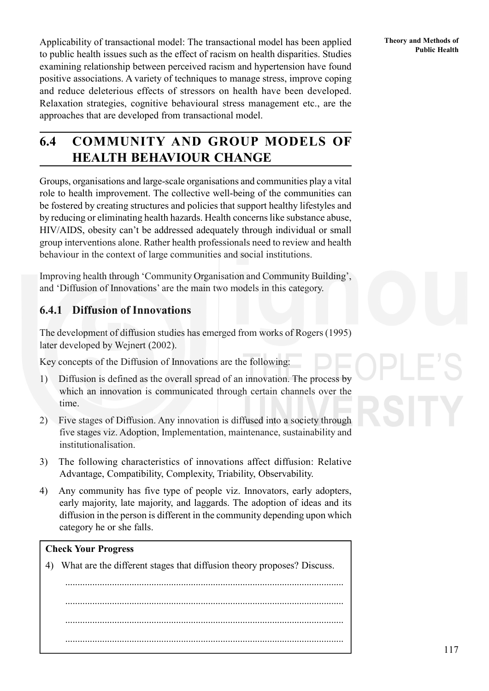**Publicability of transactional model: The transactional model has been applied Theory and Methods of Public Health** to public health issues such as the effect of racism on health disparities. Studies examining relationship between perceived racism and hypertension have found positive associations. A variety of techniques to manage stress, improve coping and reduce deleterious effects of stressors on health have been developed. Relaxation strategies, cognitive behavioural stress management etc., are the approaches that are developed from transactional model.

# **6.4 COMMUNITY AND GROUP MODELS OF HEALTH BEHAVIOUR CHANGE**

Groups, organisations and large-scale organisations and communities play a vital role to health improvement. The collective well-being of the communities can be fostered by creating structures and policies that support healthy lifestyles and by reducing or eliminating health hazards. Health concerns like substance abuse, HIV/AIDS, obesity can't be addressed adequately through individual or small group interventions alone. Rather health professionals need to review and health behaviour in the context of large communities and social institutions.

Improving health through 'Community Organisation and Community Building', and 'Diffusion of Innovations' are the main two models in this category.

### **6.4.1 Diffusion of Innovations**

The development of diffusion studies has emerged from works of Rogers (1995) later developed by Wejnert (2002).

Key concepts of the Diffusion of Innovations are the following:

- 1) Diffusion is defined as the overall spread of an innovation. The process by which an innovation is communicated through certain channels over the time.
- 2) Five stages of Diffusion. Any innovation is diffused into a society through five stages viz. Adoption, Implementation, maintenance, sustainability and institutionalisation.
- 3) The following characteristics of innovations affect diffusion: Relative Advantage, Compatibility, Complexity, Triability, Observability.
- 4) Any community has five type of people viz. Innovators, early adopters, early majority, late majority, and laggards. The adoption of ideas and its diffusion in the person is different in the community depending upon which category he or she falls.

#### **Check Your Progress**

4) What are the different stages that diffusion theory proposes? Discuss.

................................................................................................................. ................................................................................................................. ................................................................................................................. .................................................................................................................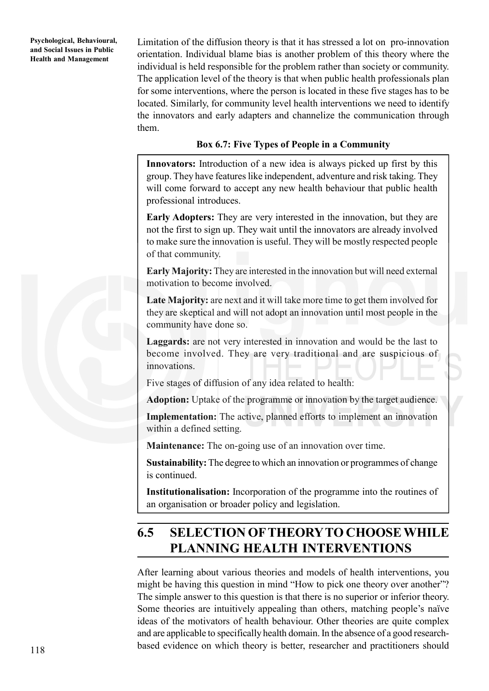Limitation of the diffusion theory is that it has stressed a lot on pro-innovation orientation. Individual blame bias is another problem of this theory where the individual is held responsible for the problem rather than society or community. The application level of the theory is that when public health professionals plan for some interventions, where the person is located in these five stages has to be located. Similarly, for community level health interventions we need to identify the innovators and early adapters and channelize the communication through them.

### **Box 6.7: Five Types of People in a Community**

**Innovators:** Introduction of a new idea is always picked up first by this group. They have features like independent, adventure and risk taking. They will come forward to accept any new health behaviour that public health professional introduces.

**Early Adopters:** They are very interested in the innovation, but they are not the first to sign up. They wait until the innovators are already involved to make sure the innovation is useful. They will be mostly respected people of that community.

**Early Majority:** They are interested in the innovation but will need external motivation to become involved.

**Late Majority:** are next and it will take more time to get them involved for they are skeptical and will not adopt an innovation until most people in the community have done so.

**Laggards:** are not very interested in innovation and would be the last to become involved. They are very traditional and are suspicious of innovations.

Five stages of diffusion of any idea related to health:

**Adoption:** Uptake of the programme or innovation by the target audience.

**Implementation:** The active, planned efforts to implement an innovation within a defined setting.

**Maintenance:** The on-going use of an innovation over time.

**Sustainability:** The degree to which an innovation or programmes of change is continued.

**Institutionalisation:** Incorporation of the programme into the routines of an organisation or broader policy and legislation.

# **6.5 SELECTION OF THEORY TO CHOOSE WHILE PLANNING HEALTH INTERVENTIONS**

After learning about various theories and models of health interventions, you might be having this question in mind "How to pick one theory over another"? The simple answer to this question is that there is no superior or inferior theory. Some theories are intuitively appealing than others, matching people's naïve ideas of the motivators of health behaviour. Other theories are quite complex and are applicable to specifically health domain. In the absence of a good researchbased evidence on which theory is better, researcher and practitioners should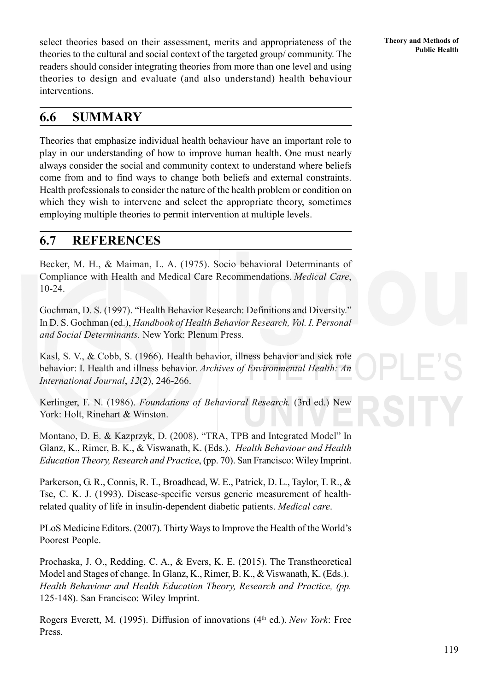**Public Health** select theories based on their assessment, merits and appropriateness of the **Public Health** Public Health theories to the cultural and social context of the targeted group/ community. The readers should consider integrating theories from more than one level and using theories to design and evaluate (and also understand) health behaviour interventions.

# **6.6 SUMMARY**

Theories that emphasize individual health behaviour have an important role to play in our understanding of how to improve human health. One must nearly always consider the social and community context to understand where beliefs come from and to find ways to change both beliefs and external constraints. Health professionals to consider the nature of the health problem or condition on which they wish to intervene and select the appropriate theory, sometimes employing multiple theories to permit intervention at multiple levels.

## **6.7 REFERENCES**

Becker, M. H., & Maiman, L. A. (1975). Socio behavioral Determinants of Compliance with Health and Medical Care Recommendations. *Medical Care*, 10-24.

Gochman, D. S. (1997). "Health Behavior Research: Definitions and Diversity." In D. S. Gochman (ed.), *Handbook of Health Behavior Research, Vol. I. Personal and Social Determinants.* New York: Plenum Press.

Kasl, S. V., & Cobb, S. (1966). Health behavior, illness behavior and sick role behavior: I. Health and illness behavior. *Archives of Environmental Health: An International Journal*, *12*(2), 246-266.

Kerlinger, F. N. (1986). *Foundations of Behavioral Research.* (3rd ed.) New York: Holt, Rinehart & Winston.

Montano, D. E. & Kazprzyk, D. (2008). "TRA, TPB and Integrated Model" In Glanz, K., Rimer, B. K., & Viswanath, K. (Eds.). *Health Behaviour and Health Education Theory, Research and Practice*, (pp. 70). San Francisco: Wiley Imprint.

Parkerson, G. R., Connis, R. T., Broadhead, W. E., Patrick, D. L., Taylor, T. R., & Tse, C. K. J. (1993). Disease-specific versus generic measurement of healthrelated quality of life in insulin-dependent diabetic patients. *Medical care*.

PLoS Medicine Editors. (2007). Thirty Ways to Improve the Health of the World's Poorest People.

Prochaska, J. O., Redding, C. A., & Evers, K. E. (2015). The Transtheoretical Model and Stages of change. In Glanz, K., Rimer, B. K., & Viswanath, K. (Eds.). *Health Behaviour and Health Education Theory, Research and Practice, (pp.* 125-148). San Francisco: Wiley Imprint.

Rogers Everett, M. (1995). Diffusion of innovations (4th ed.). *New York*: Free Press.